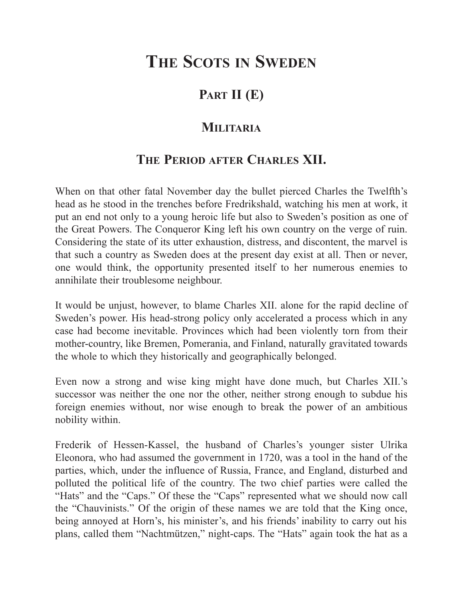## **PART II (E)**

#### **MILITARIA**

## **THE PERIOD AFTER CHARLES XII.**

When on that other fatal November day the bullet pierced Charles the Twelfth's head as he stood in the trenches before Fredrikshald, watching his men at work, it put an end not only to a young heroic life but also to Sweden's position as one of the Great Powers. The Conqueror King left his own country on the verge of ruin. Considering the state of its utter exhaustion, distress, and discontent, the marvel is that such a country as Sweden does at the present day exist at all. Then or never, one would think, the opportunity presented itself to her numerous enemies to annihilate their troublesome neighbour.

It would be unjust, however, to blame Charles XII. alone for the rapid decline of Sweden's power. His head-strong policy only accelerated a process which in any case had become inevitable. Provinces which had been violently torn from their mother-country, like Bremen, Pomerania, and Finland, naturally gravitated towards the whole to which they historically and geographically belonged.

Even now a strong and wise king might have done much, but Charles XII.'s successor was neither the one nor the other, neither strong enough to subdue his foreign enemies without, nor wise enough to break the power of an ambitious nobility within.

Frederik of Hessen-Kassel, the husband of Charles's younger sister Ulrika Eleonora, who had assumed the government in 1720, was a tool in the hand of the parties, which, under the influence of Russia, France, and England, disturbed and polluted the political life of the country. The two chief parties were called the "Hats" and the "Caps." Of these the "Caps" represented what we should now call the "Chauvinists." Of the origin of these names we are told that the King once, being annoyed at Horn's, his minister's, and his friends' inability to carry out his plans, called them "Nachtmützen," night-caps. The "Hats" again took the hat as a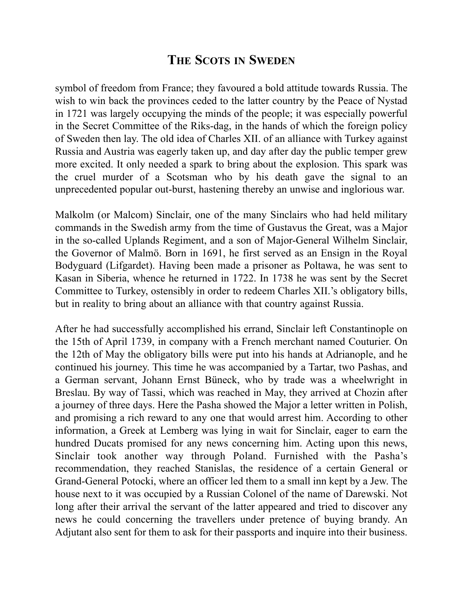symbol of freedom from France; they favoured a bold attitude towards Russia. The wish to win back the provinces ceded to the latter country by the Peace of Nystad in 1721 was largely occupying the minds of the people; it was especially powerful in the Secret Committee of the Riks-dag, in the hands of which the foreign policy of Sweden then lay. The old idea of Charles XII. of an alliance with Turkey against Russia and Austria was eagerly taken up, and day after day the public temper grew more excited. It only needed a spark to bring about the explosion. This spark was the cruel murder of a Scotsman who by his death gave the signal to an unprecedented popular out-burst, hastening thereby an unwise and inglorious war.

Malkolm (or Malcom) Sinclair, one of the many Sinclairs who had held military commands in the Swedish army from the time of Gustavus the Great, was a Major in the so-called Uplands Regiment, and a son of Major-General Wilhelm Sinclair, the Governor of Malmö. Born in 1691, he first served as an Ensign in the Royal Bodyguard (Lifgardet). Having been made a prisoner as Poltawa, he was sent to Kasan in Siberia, whence he returned in 1722. In 1738 he was sent by the Secret Committee to Turkey, ostensibly in order to redeem Charles XII.'s obligatory bills, but in reality to bring about an alliance with that country against Russia.

After he had successfully accomplished his errand, Sinclair left Constantinople on the 15th of April 1739, in company with a French merchant named Couturier. On the 12th of May the obligatory bills were put into his hands at Adrianople, and he continued his journey. This time he was accompanied by a Tartar, two Pashas, and a German servant, Johann Ernst Büneck, who by trade was a wheelwright in Breslau. By way of Tassi, which was reached in May, they arrived at Chozin after a journey of three days. Here the Pasha showed the Major a letter written in Polish, and promising a rich reward to any one that would arrest him. According to other information, a Greek at Lemberg was lying in wait for Sinclair, eager to earn the hundred Ducats promised for any news concerning him. Acting upon this news, Sinclair took another way through Poland. Furnished with the Pasha's recommendation, they reached Stanislas, the residence of a certain General or Grand-General Potocki, where an officer led them to a small inn kept by a Jew. The house next to it was occupied by a Russian Colonel of the name of Darewski. Not long after their arrival the servant of the latter appeared and tried to discover any news he could concerning the travellers under pretence of buying brandy. An Adjutant also sent for them to ask for their passports and inquire into their business.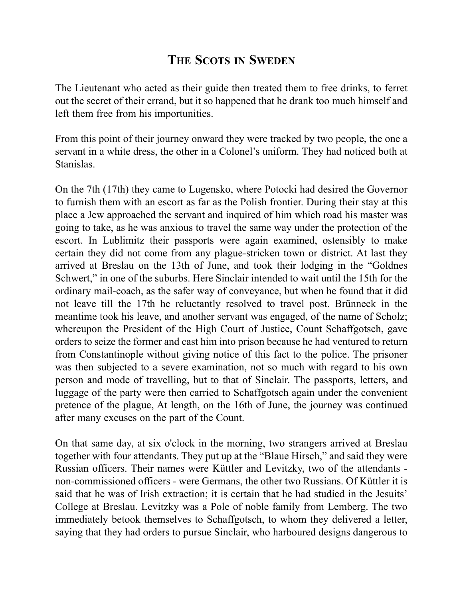The Lieutenant who acted as their guide then treated them to free drinks, to ferret out the secret of their errand, but it so happened that he drank too much himself and left them free from his importunities.

From this point of their journey onward they were tracked by two people, the one a servant in a white dress, the other in a Colonel's uniform. They had noticed both at Stanislas.

On the 7th (17th) they came to Lugensko, where Potocki had desired the Governor to furnish them with an escort as far as the Polish frontier. During their stay at this place a Jew approached the servant and inquired of him which road his master was going to take, as he was anxious to travel the same way under the protection of the escort. In Lublimitz their passports were again examined, ostensibly to make certain they did not come from any plague-stricken town or district. At last they arrived at Breslau on the 13th of June, and took their lodging in the "Goldnes Schwert," in one of the suburbs. Here Sinclair intended to wait until the 15th for the ordinary mail-coach, as the safer way of conveyance, but when he found that it did not leave till the 17th he reluctantly resolved to travel post. Brünneck in the meantime took his leave, and another servant was engaged, of the name of Scholz; whereupon the President of the High Court of Justice, Count Schaffgotsch, gave orders to seize the former and cast him into prison because he had ventured to return from Constantinople without giving notice of this fact to the police. The prisoner was then subjected to a severe examination, not so much with regard to his own person and mode of travelling, but to that of Sinclair. The passports, letters, and luggage of the party were then carried to Schaffgotsch again under the convenient pretence of the plague, At length, on the 16th of June, the journey was continued after many excuses on the part of the Count.

On that same day, at six o'clock in the morning, two strangers arrived at Breslau together with four attendants. They put up at the "Blaue Hirsch," and said they were Russian officers. Their names were Küttler and Levitzky, two of the attendants non-commissioned officers - were Germans, the other two Russians. Of Küttler it is said that he was of Irish extraction; it is certain that he had studied in the Jesuits' College at Breslau. Levitzky was a Pole of noble family from Lemberg. The two immediately betook themselves to Schaffgotsch, to whom they delivered a letter, saying that they had orders to pursue Sinclair, who harboured designs dangerous to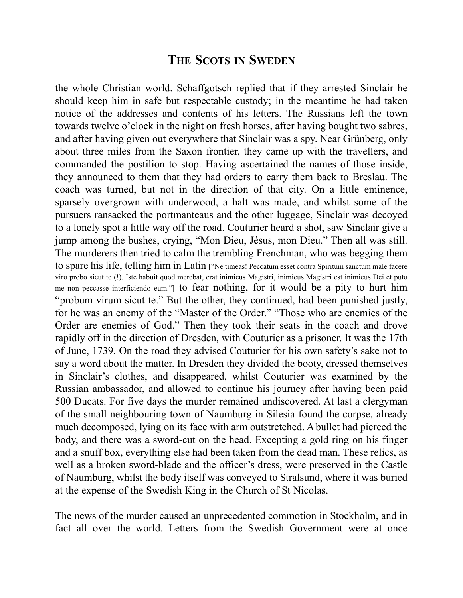the whole Christian world. Schaffgotsch replied that if they arrested Sinclair he should keep him in safe but respectable custody; in the meantime he had taken notice of the addresses and contents of his letters. The Russians left the town towards twelve o'clock in the night on fresh horses, after having bought two sabres, and after having given out everywhere that Sinclair was a spy. Near Grünberg, only about three miles from the Saxon frontier, they came up with the travellers, and commanded the postilion to stop. Having ascertained the names of those inside, they announced to them that they had orders to carry them back to Breslau. The coach was turned, but not in the direction of that city. On a little eminence, sparsely overgrown with underwood, a halt was made, and whilst some of the pursuers ransacked the portmanteaus and the other luggage, Sinclair was decoyed to a lonely spot a little way off the road. Couturier heard a shot, saw Sinclair give a jump among the bushes, crying, "Mon Dieu, Jésus, mon Dieu." Then all was still. The murderers then tried to calm the trembling Frenchman, who was begging them to spare his life, telling him in Latin ["Ne timeas! Peccatum esset contra Spiritum sanctum male facere viro probo sicut te (!). Iste habuit quod merebat, erat inimicus Magistri, inimicus Magistri est inimicus Dei et puto me non peccasse interficiendo eum."] to fear nothing, for it would be a pity to hurt him "probum virum sicut te." But the other, they continued, had been punished justly, for he was an enemy of the "Master of the Order." "Those who are enemies of the Order are enemies of God." Then they took their seats in the coach and drove rapidly off in the direction of Dresden, with Couturier as a prisoner. It was the 17th of June, 1739. On the road they advised Couturier for his own safety's sake not to say a word about the matter. In Dresden they divided the booty, dressed themselves in Sinclair's clothes, and disappeared, whilst Couturier was examined by the Russian ambassador, and allowed to continue his journey after having been paid 500 Ducats. For five days the murder remained undiscovered. At last a clergyman of the small neighbouring town of Naumburg in Silesia found the corpse, already much decomposed, lying on its face with arm outstretched. A bullet had pierced the body, and there was a sword-cut on the head. Excepting a gold ring on his finger and a snuff box, everything else had been taken from the dead man. These relics, as well as a broken sword-blade and the officer's dress, were preserved in the Castle of Naumburg, whilst the body itself was conveyed to Stralsund, where it was buried at the expense of the Swedish King in the Church of St Nicolas.

The news of the murder caused an unprecedented commotion in Stockholm, and in fact all over the world. Letters from the Swedish Government were at once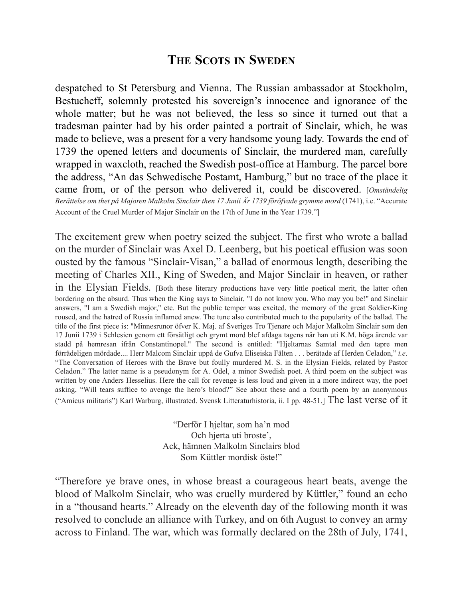despatched to St Petersburg and Vienna. The Russian ambassador at Stockholm, Bestucheff, solemnly protested his sovereign's innocence and ignorance of the whole matter; but he was not believed, the less so since it turned out that a tradesman painter had by his order painted a portrait of Sinclair, which, he was made to believe, was a present for a very handsome young lady. Towards the end of 1739 the opened letters and documents of Sinclair, the murdered man, carefully wrapped in waxcloth, reached the Swedish post-office at Hamburg. The parcel bore the address, "An das Schwedische Postamt, Hamburg," but no trace of the place it came from, or of the person who delivered it, could be discovered. [*Omständelig Berättelse om thet på Majoren Malkolm Sinclair then 17 Junii Är 1739 föröfvade grymme mord* (1741), i.e. "Accurate Account of the Cruel Murder of Major Sinclair on the 17th of June in the Year 1739."]

The excitement grew when poetry seized the subject. The first who wrote a ballad on the murder of Sinclair was Axel D. Leenberg, but his poetical effusion was soon ousted by the famous "Sinclair-Visan," a ballad of enormous length, describing the meeting of Charles XII., King of Sweden, and Major Sinclair in heaven, or rather in the Elysian Fields. [Both these literary productions have very little poetical merit, the latter often bordering on the absurd. Thus when the King says to Sinclair, "I do not know you. Who may you be!" and Sinclair answers, "I am a Swedish major," etc. But the public temper was excited, the memory of the great Soldier-King roused, and the hatred of Russia inflamed anew. The tune also contributed much to the popularity of the ballad. The title of the first piece is: "Minnesrunor öfver K. Maj. af Sveriges Tro Tjenare och Major Malkolm Sinclair som den 17 Junii 1739 i Schlesien genom ett försätligt och grymt mord blef afdaga tagens när han uti K.M. höga ärende var stadd på hemresan ifrån Constantinopel." The second is entitled: "Hjeltarnas Samtal med den tapre men förrädeligen mördade.... Herr Malcom Sinclair uppå de Gufva Eliseiska Fälten . . . berätade af Herden Celadon," *i.e*. "The Conversation of Heroes with the Brave but foully murdered M. S. in the Elysian Fields, related by Pastor Celadon." The latter name is a pseudonym for A. Odel, a minor Swedish poet. A third poem on the subject was written by one Anders Hesselius. Here the call for revenge is less loud and given in a more indirect way, the poet asking, "Will tears suffice to avenge the hero's blood?" See about these and a fourth poem by an anonymous ("Amicus militaris") Karl Warburg, illustrated. Svensk Litteraturhistoria, ii. I pp. 48-51.] The last verse of it

> "Derför I hjeltar, som ha'n mod Och hjerta uti broste', Ack, hämnen Malkolm Sinclairs blod Som Küttler mordisk öste!"

"Therefore ye brave ones, in whose breast a courageous heart beats, avenge the blood of Malkolm Sinclair, who was cruelly murdered by Küttler," found an echo in a "thousand hearts." Already on the eleventh day of the following month it was resolved to conclude an alliance with Turkey, and on 6th August to convey an army across to Finland. The war, which was formally declared on the 28th of July, 1741,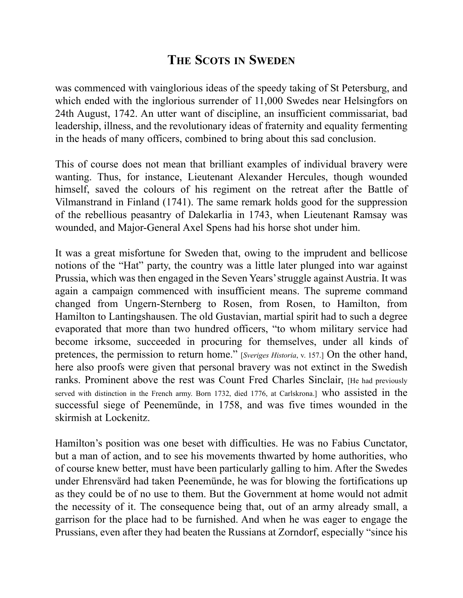was commenced with vainglorious ideas of the speedy taking of St Petersburg, and which ended with the inglorious surrender of 11,000 Swedes near Helsingfors on 24th August, 1742. An utter want of discipline, an insufficient commissariat, bad leadership, illness, and the revolutionary ideas of fraternity and equality fermenting in the heads of many officers, combined to bring about this sad conclusion.

This of course does not mean that brilliant examples of individual bravery were wanting. Thus, for instance, Lieutenant Alexander Hercules, though wounded himself, saved the colours of his regiment on the retreat after the Battle of Vilmanstrand in Finland (1741). The same remark holds good for the suppression of the rebellious peasantry of Dalekarlia in 1743, when Lieutenant Ramsay was wounded, and Major-General Axel Spens had his horse shot under him.

It was a great misfortune for Sweden that, owing to the imprudent and bellicose notions of the "Hat" party, the country was a little later plunged into war against Prussia, which was then engaged in the Seven Years'struggle against Austria. It was again a campaign commenced with insufficient means. The supreme command changed from Ungern-Sternberg to Rosen, from Rosen, to Hamilton, from Hamilton to Lantingshausen. The old Gustavian, martial spirit had to such a degree evaporated that more than two hundred officers, "to whom military service had become irksome, succeeded in procuring for themselves, under all kinds of pretences, the permission to return home." [*Sveriges Historia*, v. 157.] On the other hand, here also proofs were given that personal bravery was not extinct in the Swedish ranks. Prominent above the rest was Count Fred Charles Sinclair, [He had previously served with distinction in the French army. Born 1732, died 1776, at Carlskrona.] who assisted in the successful siege of Peenemünde, in 1758, and was five times wounded in the skirmish at Lockenitz.

Hamilton's position was one beset with difficulties. He was no Fabius Cunctator, but a man of action, and to see his movements thwarted by home authorities, who of course knew better, must have been particularly galling to him. After the Swedes under Ehrensvärd had taken Peenemünde, he was for blowing the fortifications up as they could be of no use to them. But the Government at home would not admit the necessity of it. The consequence being that, out of an army already small, a garrison for the place had to be furnished. And when he was eager to engage the Prussians, even after they had beaten the Russians at Zorndorf, especially "since his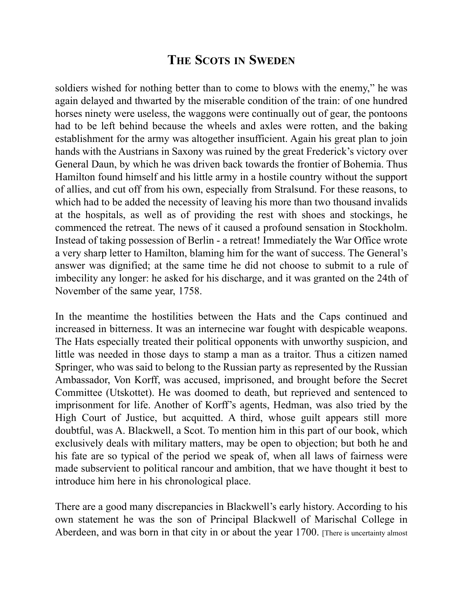soldiers wished for nothing better than to come to blows with the enemy," he was again delayed and thwarted by the miserable condition of the train: of one hundred horses ninety were useless, the waggons were continually out of gear, the pontoons had to be left behind because the wheels and axles were rotten, and the baking establishment for the army was altogether insufficient. Again his great plan to join hands with the Austrians in Saxony was ruined by the great Frederick's victory over General Daun, by which he was driven back towards the frontier of Bohemia. Thus Hamilton found himself and his little army in a hostile country without the support of allies, and cut off from his own, especially from Stralsund. For these reasons, to which had to be added the necessity of leaving his more than two thousand invalids at the hospitals, as well as of providing the rest with shoes and stockings, he commenced the retreat. The news of it caused a profound sensation in Stockholm. Instead of taking possession of Berlin - a retreat! Immediately the War Office wrote a very sharp letter to Hamilton, blaming him for the want of success. The General's answer was dignified; at the same time he did not choose to submit to a rule of imbecility any longer: he asked for his discharge, and it was granted on the 24th of November of the same year, 1758.

In the meantime the hostilities between the Hats and the Caps continued and increased in bitterness. It was an internecine war fought with despicable weapons. The Hats especially treated their political opponents with unworthy suspicion, and little was needed in those days to stamp a man as a traitor. Thus a citizen named Springer, who was said to belong to the Russian party as represented by the Russian Ambassador, Von Korff, was accused, imprisoned, and brought before the Secret Committee (Utskottet). He was doomed to death, but reprieved and sentenced to imprisonment for life. Another of Korff's agents, Hedman, was also tried by the High Court of Justice, but acquitted. A third, whose guilt appears still more doubtful, was A. Blackwell, a Scot. To mention him in this part of our book, which exclusively deals with military matters, may be open to objection; but both he and his fate are so typical of the period we speak of, when all laws of fairness were made subservient to political rancour and ambition, that we have thought it best to introduce him here in his chronological place.

There are a good many discrepancies in Blackwell's early history. According to his own statement he was the son of Principal Blackwell of Marischal College in Aberdeen, and was born in that city in or about the year 1700. [There is uncertainty almost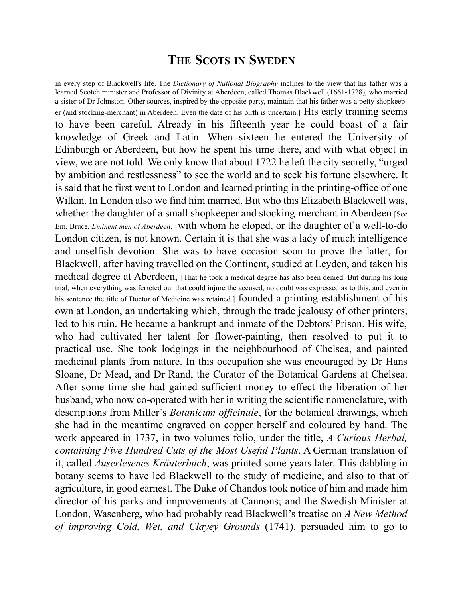in every step of Blackwell's life. The *Dictionary of National Biography* inclines to the view that his father was a learned Scotch minister and Professor of Divinity at Aberdeen, called Thomas Blackwell (1661-1728), who married a sister of Dr Johnston. Other sources, inspired by the opposite party, maintain that his father was a petty shopkeeper (and stocking-merchant) in Aberdeen. Even the date of his birth is uncertain.] His early training seems to have been careful. Already in his fifteenth year he could boast of a fair knowledge of Greek and Latin. When sixteen he entered the University of Edinburgh or Aberdeen, but how he spent his time there, and with what object in view, we are not told. We only know that about 1722 he left the city secretly, "urged by ambition and restlessness" to see the world and to seek his fortune elsewhere. It is said that he first went to London and learned printing in the printing-office of one Wilkin. In London also we find him married. But who this Elizabeth Blackwell was, whether the daughter of a small shopkeeper and stocking-merchant in Aberdeen [See] Em. Bruce, *Eminent men of Aberdeen*.] with whom he eloped, or the daughter of a well-to-do London citizen, is not known. Certain it is that she was a lady of much intelligence and unselfish devotion. She was to have occasion soon to prove the latter, for Blackwell, after having travelled on the Continent, studied at Leyden, and taken his medical degree at Aberdeen, [That he took a medical degree has also been denied. But during his long trial, when everything was ferreted out that could injure the accused, no doubt was expressed as to this, and even in his sentence the title of Doctor of Medicine was retained.] founded a printing-establishment of his own at London, an undertaking which, through the trade jealousy of other printers, led to his ruin. He became a bankrupt and inmate of the Debtors' Prison. His wife, who had cultivated her talent for flower-painting, then resolved to put it to practical use. She took lodgings in the neighbourhood of Chelsea, and painted medicinal plants from nature. In this occupation she was encouraged by Dr Hans Sloane, Dr Mead, and Dr Rand, the Curator of the Botanical Gardens at Chelsea. After some time she had gained sufficient money to effect the liberation of her husband, who now co-operated with her in writing the scientific nomenclature, with descriptions from Miller's *Botanicum officinale*, for the botanical drawings, which she had in the meantime engraved on copper herself and coloured by hand. The work appeared in 1737, in two volumes folio, under the title, *A Curious Herbal, containing Five Hundred Cuts of the Most Useful Plants*. A German translation of it, called *Auserlesenes Kräuterbuch*, was printed some years later. This dabbling in botany seems to have led Blackwell to the study of medicine, and also to that of agriculture, in good earnest. The Duke of Chandos took notice of him and made him director of his parks and improvements at Cannons; and the Swedish Minister at London, Wasenberg, who had probably read Blackwell's treatise on *A New Method of improving Cold, Wet, and Clayey Grounds* (1741), persuaded him to go to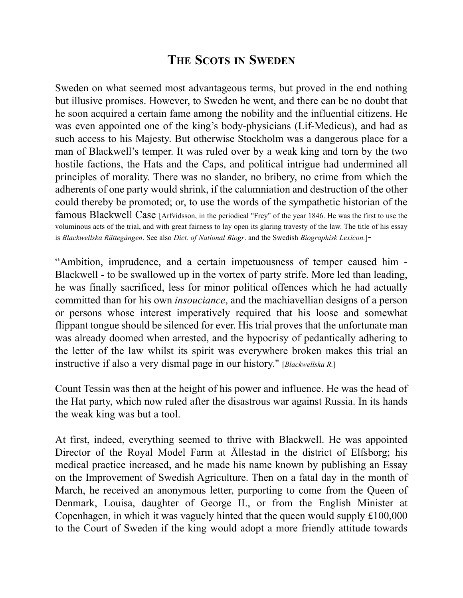Sweden on what seemed most advantageous terms, but proved in the end nothing but illusive promises. However, to Sweden he went, and there can be no doubt that he soon acquired a certain fame among the nobility and the influential citizens. He was even appointed one of the king's body-physicians (Lif-Medicus), and had as such access to his Majesty. But otherwise Stockholm was a dangerous place for a man of Blackwell's temper. It was ruled over by a weak king and torn by the two hostile factions, the Hats and the Caps, and political intrigue had undermined all principles of morality. There was no slander, no bribery, no crime from which the adherents of one party would shrink, if the calumniation and destruction of the other could thereby be promoted; or, to use the words of the sympathetic historian of the famous Blackwell Case [Arfvidsson, in the periodical "Frey" of the year 1846. He was the first to use the voluminous acts of the trial, and with great fairness to lay open its glaring travesty of the law. The title of his essay is *Blackwellska Rättegången*. See also *Dict. of National Biogr*. and the Swedish *Biographisk Lexicon.*]-

"Ambition, imprudence, and a certain impetuousness of temper caused him - Blackwell - to be swallowed up in the vortex of party strife. More led than leading, he was finally sacrificed, less for minor political offences which he had actually committed than for his own *insouciance*, and the machiavellian designs of a person or persons whose interest imperatively required that his loose and somewhat flippant tongue should be silenced for ever. His trial proves that the unfortunate man was already doomed when arrested, and the hypocrisy of pedantically adhering to the letter of the law whilst its spirit was everywhere broken makes this trial an instructive if also a very dismal page in our history." [*Blackwellska R.*]

Count Tessin was then at the height of his power and influence. He was the head of the Hat party, which now ruled after the disastrous war against Russia. In its hands the weak king was but a tool.

At first, indeed, everything seemed to thrive with Blackwell. He was appointed Director of the Royal Model Farm at Ållestad in the district of Elfsborg; his medical practice increased, and he made his name known by publishing an Essay on the Improvement of Swedish Agriculture. Then on a fatal day in the month of March, he received an anonymous letter, purporting to come from the Queen of Denmark, Louisa, daughter of George II., or from the English Minister at Copenhagen, in which it was vaguely hinted that the queen would supply £100,000 to the Court of Sweden if the king would adopt a more friendly attitude towards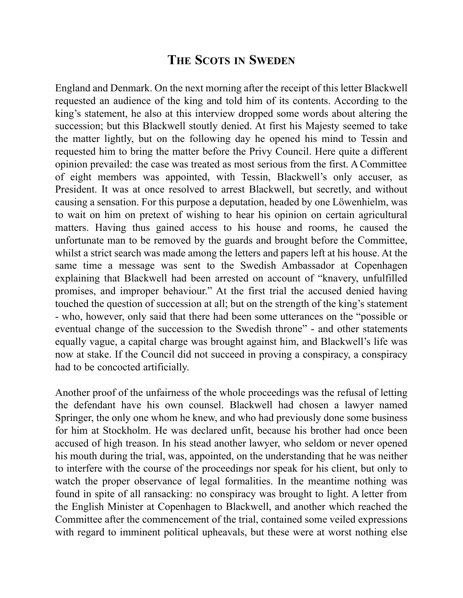England and Denmark. On the next morning after the receipt of this letter Blackwell requested an audience of the king and told him of its contents. According to the king's statement, he also at this interview dropped some words about altering the succession; but this Blackwell stoutly denied. At first his Majesty seemed to take the matter lightly, but on the following day he opened his mind to Tessin and requested him to bring the matter before the Privy Council. Here quite a different opinion prevailed: the case was treated as most serious from the first. A Committee of eight members was appointed, with Tessin, Blackwell's only accuser, as President. It was at once resolved to arrest Blackwell, but secretly, and without causing a sensation. For this purpose a deputation, headed by one Löwenhielm, was to wait on him on pretext of wishing to hear his opinion on certain agricultural matters. Having thus gained access to his house and rooms, he caused the unfortunate man to be removed by the guards and brought before the Committee, whilst a strict search was made among the letters and papers left at his house. At the same time a message was sent to the Swedish Ambassador at Copenhagen explaining that Blackwell had been arrested on account of "knavery, unfulfilled promises, and improper behaviour." At the first trial the accused denied having touched the question of succession at all; but on the strength of the king's statement - who, however, only said that there had been some utterances on the "possible or eventual change of the succession to the Swedish throne" - and other statements equally vague, a capital charge was brought against him, and Blackwell's life was now at stake. If the Council did not succeed in proving a conspiracy, a conspiracy had to be concocted artificially.

Another proof of the unfairness of the whole proceedings was the refusal of letting the defendant have his own counsel. Blackwell had chosen a lawyer named Springer, the only one whom he knew, and who had previously done some business for him at Stockholm. He was declared unfit, because his brother had once been accused of high treason. In his stead another lawyer, who seldom or never opened his mouth during the trial, was, appointed, on the understanding that he was neither to interfere with the course of the proceedings nor speak for his client, but only to watch the proper observance of legal formalities. In the meantime nothing was found in spite of all ransacking: no conspiracy was brought to light. A letter from the English Minister at Copenhagen to Blackwell, and another which reached the Committee after the commencement of the trial, contained some veiled expressions with regard to imminent political upheavals, but these were at worst nothing else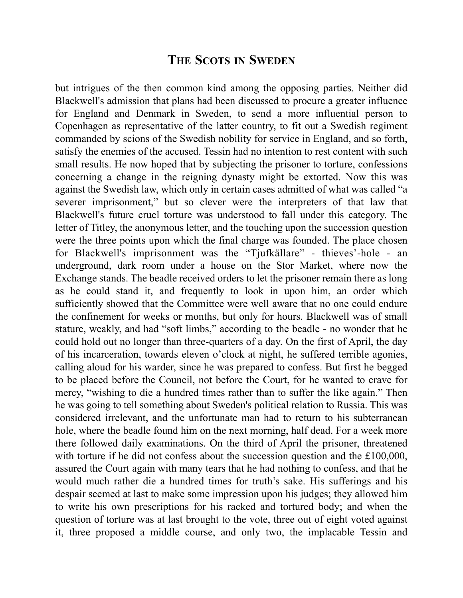but intrigues of the then common kind among the opposing parties. Neither did Blackwell's admission that plans had been discussed to procure a greater influence for England and Denmark in Sweden, to send a more influential person to Copenhagen as representative of the latter country, to fit out a Swedish regiment commanded by scions of the Swedish nobility for service in England, and so forth, satisfy the enemies of the accused. Tessin had no intention to rest content with such small results. He now hoped that by subjecting the prisoner to torture, confessions concerning a change in the reigning dynasty might be extorted. Now this was against the Swedish law, which only in certain cases admitted of what was called "a severer imprisonment," but so clever were the interpreters of that law that Blackwell's future cruel torture was understood to fall under this category. The letter of Titley, the anonymous letter, and the touching upon the succession question were the three points upon which the final charge was founded. The place chosen for Blackwell's imprisonment was the "Tjufkällare" - thieves'-hole - an underground, dark room under a house on the Stor Market, where now the Exchange stands. The beadle received orders to let the prisoner remain there as long as he could stand it, and frequently to look in upon him, an order which sufficiently showed that the Committee were well aware that no one could endure the confinement for weeks or months, but only for hours. Blackwell was of small stature, weakly, and had "soft limbs," according to the beadle - no wonder that he could hold out no longer than three-quarters of a day. On the first of April, the day of his incarceration, towards eleven o'clock at night, he suffered terrible agonies, calling aloud for his warder, since he was prepared to confess. But first he begged to be placed before the Council, not before the Court, for he wanted to crave for mercy, "wishing to die a hundred times rather than to suffer the like again." Then he was going to tell something about Sweden's political relation to Russia. This was considered irrelevant, and the unfortunate man had to return to his subterranean hole, where the beadle found him on the next morning, half dead. For a week more there followed daily examinations. On the third of April the prisoner, threatened with torture if he did not confess about the succession question and the £100,000, assured the Court again with many tears that he had nothing to confess, and that he would much rather die a hundred times for truth's sake. His sufferings and his despair seemed at last to make some impression upon his judges; they allowed him to write his own prescriptions for his racked and tortured body; and when the question of torture was at last brought to the vote, three out of eight voted against it, three proposed a middle course, and only two, the implacable Tessin and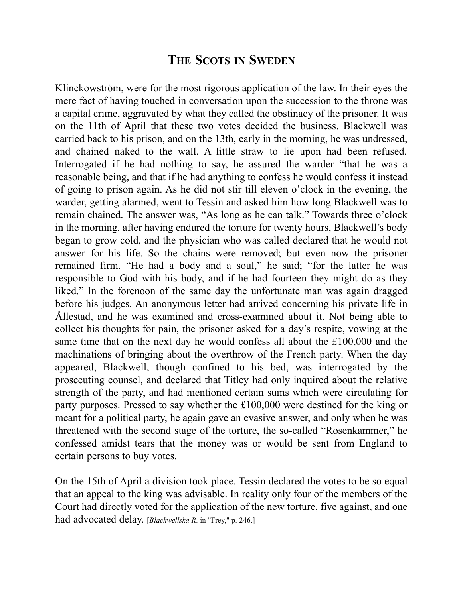Klinckowström, were for the most rigorous application of the law. In their eyes the mere fact of having touched in conversation upon the succession to the throne was a capital crime, aggravated by what they called the obstinacy of the prisoner. It was on the 11th of April that these two votes decided the business. Blackwell was carried back to his prison, and on the 13th, early in the morning, he was undressed, and chained naked to the wall. A little straw to lie upon had been refused. Interrogated if he had nothing to say, he assured the warder "that he was a reasonable being, and that if he had anything to confess he would confess it instead of going to prison again. As he did not stir till eleven o'clock in the evening, the warder, getting alarmed, went to Tessin and asked him how long Blackwell was to remain chained. The answer was, "As long as he can talk." Towards three o'clock in the morning, after having endured the torture for twenty hours, Blackwell's body began to grow cold, and the physician who was called declared that he would not answer for his life. So the chains were removed; but even now the prisoner remained firm. "He had a body and a soul," he said; "for the latter he was responsible to God with his body, and if he had fourteen they might do as they liked." In the forenoon of the same day the unfortunate man was again dragged before his judges. An anonymous letter had arrived concerning his private life in Ållestad, and he was examined and cross-examined about it. Not being able to collect his thoughts for pain, the prisoner asked for a day's respite, vowing at the same time that on the next day he would confess all about the £100,000 and the machinations of bringing about the overthrow of the French party. When the day appeared, Blackwell, though confined to his bed, was interrogated by the prosecuting counsel, and declared that Titley had only inquired about the relative strength of the party, and had mentioned certain sums which were circulating for party purposes. Pressed to say whether the £100,000 were destined for the king or meant for a political party, he again gave an evasive answer, and only when he was threatened with the second stage of the torture, the so-called "Rosenkammer," he confessed amidst tears that the money was or would be sent from England to certain persons to buy votes.

On the 15th of April a division took place. Tessin declared the votes to be so equal that an appeal to the king was advisable. In reality only four of the members of the Court had directly voted for the application of the new torture, five against, and one had advocated delay. [*Blackwellska R*. in "Frey," p. 246.]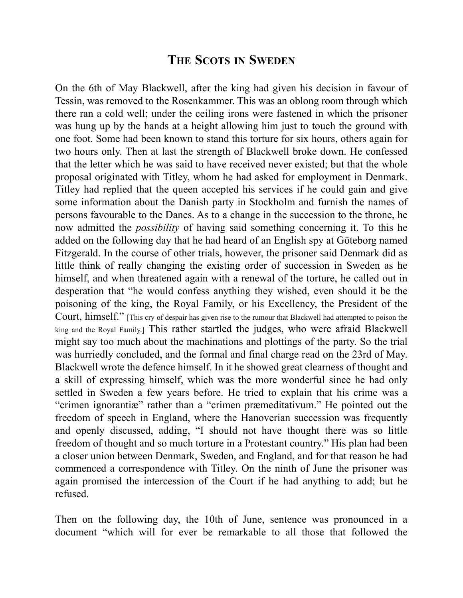On the 6th of May Blackwell, after the king had given his decision in favour of Tessin, was removed to the Rosenkammer. This was an oblong room through which there ran a cold well; under the ceiling irons were fastened in which the prisoner was hung up by the hands at a height allowing him just to touch the ground with one foot. Some had been known to stand this torture for six hours, others again for two hours only. Then at last the strength of Blackwell broke down. He confessed that the letter which he was said to have received never existed; but that the whole proposal originated with Titley, whom he had asked for employment in Denmark. Titley had replied that the queen accepted his services if he could gain and give some information about the Danish party in Stockholm and furnish the names of persons favourable to the Danes. As to a change in the succession to the throne, he now admitted the *possibility* of having said something concerning it. To this he added on the following day that he had heard of an English spy at Göteborg named Fitzgerald. In the course of other trials, however, the prisoner said Denmark did as little think of really changing the existing order of succession in Sweden as he himself, and when threatened again with a renewal of the torture, he called out in desperation that "he would confess anything they wished, even should it be the poisoning of the king, the Royal Family, or his Excellency, the President of the Court, himself." [This cry of despair has given rise to the rumour that Blackwell had attempted to poison the king and the Royal Family.] This rather startled the judges, who were afraid Blackwell might say too much about the machinations and plottings of the party. So the trial was hurriedly concluded, and the formal and final charge read on the 23rd of May. Blackwell wrote the defence himself. In it he showed great clearness of thought and a skill of expressing himself, which was the more wonderful since he had only settled in Sweden a few years before. He tried to explain that his crime was a "crimen ignorantiæ" rather than a "crimen præmeditativum." He pointed out the freedom of speech in England, where the Hanoverian succession was frequently and openly discussed, adding, "I should not have thought there was so little freedom of thought and so much torture in a Protestant country." His plan had been a closer union between Denmark, Sweden, and England, and for that reason he had commenced a correspondence with Titley. On the ninth of June the prisoner was again promised the intercession of the Court if he had anything to add; but he refused.

Then on the following day, the 10th of June, sentence was pronounced in a document "which will for ever be remarkable to all those that followed the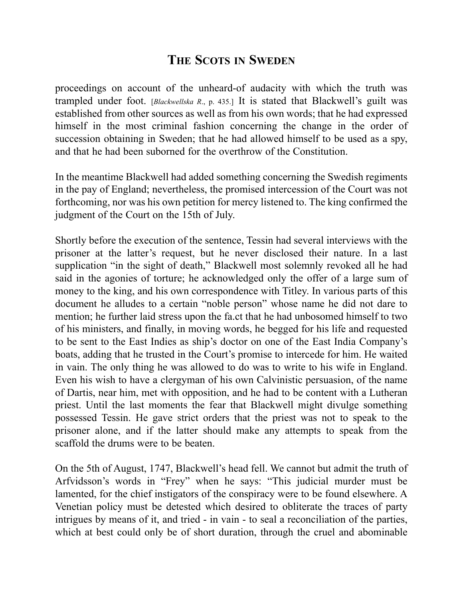proceedings on account of the unheard-of audacity with which the truth was trampled under foot. [*Blackwellska R*., p. 435.] It is stated that Blackwell's guilt was established from other sources as well as from his own words; that he had expressed himself in the most criminal fashion concerning the change in the order of succession obtaining in Sweden; that he had allowed himself to be used as a spy, and that he had been suborned for the overthrow of the Constitution.

In the meantime Blackwell had added something concerning the Swedish regiments in the pay of England; nevertheless, the promised intercession of the Court was not forthcoming, nor was his own petition for mercy listened to. The king confirmed the judgment of the Court on the 15th of July.

Shortly before the execution of the sentence, Tessin had several interviews with the prisoner at the latter's request, but he never disclosed their nature. In a last supplication "in the sight of death," Blackwell most solemnly revoked all he had said in the agonies of torture; he acknowledged only the offer of a large sum of money to the king, and his own correspondence with Titley. In various parts of this document he alludes to a certain "noble person" whose name he did not dare to mention; he further laid stress upon the fa.ct that he had unbosomed himself to two of his ministers, and finally, in moving words, he begged for his life and requested to be sent to the East Indies as ship's doctor on one of the East India Company's boats, adding that he trusted in the Court's promise to intercede for him. He waited in vain. The only thing he was allowed to do was to write to his wife in England. Even his wish to have a clergyman of his own Calvinistic persuasion, of the name of Dartis, near him, met with opposition, and he had to be content with a Lutheran priest. Until the last moments the fear that Blackwell might divulge something possessed Tessin. He gave strict orders that the priest was not to speak to the prisoner alone, and if the latter should make any attempts to speak from the scaffold the drums were to be beaten.

On the 5th of August, 1747, Blackwell's head fell. We cannot but admit the truth of Arfvidsson's words in "Frey" when he says: "This judicial murder must be lamented, for the chief instigators of the conspiracy were to be found elsewhere. A Venetian policy must be detested which desired to obliterate the traces of party intrigues by means of it, and tried - in vain - to seal a reconciliation of the parties, which at best could only be of short duration, through the cruel and abominable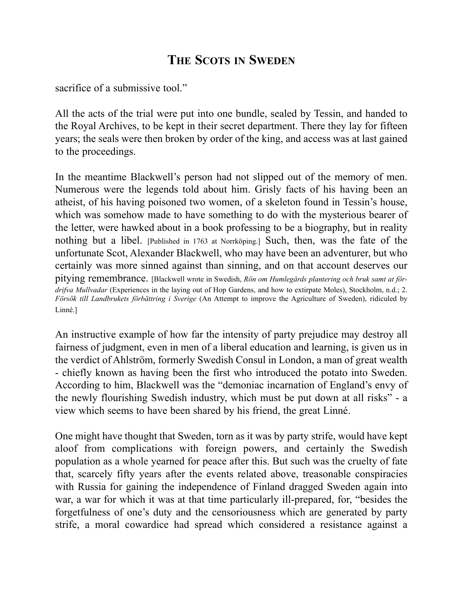sacrifice of a submissive tool."

All the acts of the trial were put into one bundle, sealed by Tessin, and handed to the Royal Archives, to be kept in their secret department. There they lay for fifteen years; the seals were then broken by order of the king, and access was at last gained to the proceedings.

In the meantime Blackwell's person had not slipped out of the memory of men. Numerous were the legends told about him. Grisly facts of his having been an atheist, of his having poisoned two women, of a skeleton found in Tessin's house, which was somehow made to have something to do with the mysterious bearer of the letter, were hawked about in a book professing to be a biography, but in reality nothing but a libel. [Published in 1763 at Norrköping.] Such, then, was the fate of the unfortunate Scot, Alexander Blackwell, who may have been an adventurer, but who certainly was more sinned against than sinning, and on that account deserves our pitying remembrance. [Blackwell wrote in Swedish, *Rön om Humlegårds plantering och bruk samt at fördrifva Mullvadar* (Experiences in the laying out of Hop Gardens, and how to extirpate Moles), Stockholm, n.d.; 2. *Försök till Landbrukets förbättring i Sverige* (An Attempt to improve the Agriculture of Sweden), ridiculed by Linné.]

An instructive example of how far the intensity of party prejudice may destroy all fairness of judgment, even in men of a liberal education and learning, is given us in the verdict of Ahlström, formerly Swedish Consul in London, a man of great wealth - chiefly known as having been the first who introduced the potato into Sweden. According to him, Blackwell was the "demoniac incarnation of England's envy of the newly flourishing Swedish industry, which must be put down at all risks" - a view which seems to have been shared by his friend, the great Linné.

One might have thought that Sweden, torn as it was by party strife, would have kept aloof from complications with foreign powers, and certainly the Swedish population as a whole yearned for peace after this. But such was the cruelty of fate that, scarcely fifty years after the events related above, treasonable conspiracies with Russia for gaining the independence of Finland dragged Sweden again into war, a war for which it was at that time particularly ill-prepared, for, "besides the forgetfulness of one's duty and the censoriousness which are generated by party strife, a moral cowardice had spread which considered a resistance against a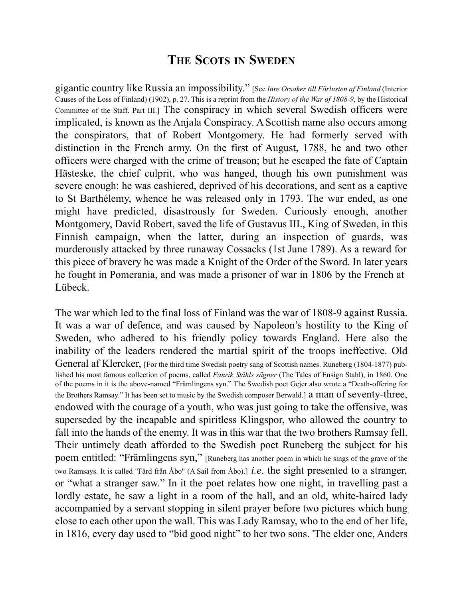gigantic country like Russia an impossibility." [See *Inre Orsaker till Förlusten af Finland* (Interior Causes of the Loss of Finland) (1902), p. 27. This is a reprint from the *History of the War of 1808-9*, by the Historical Committee of the Staff. Part III.] The conspiracy in which several Swedish officers were implicated, is known as the Anjala Conspiracy. A Scottish name also occurs among the conspirators, that of Robert Montgomery. He had formerly served with distinction in the French army. On the first of August, 1788, he and two other officers were charged with the crime of treason; but he escaped the fate of Captain Hästeske, the chief culprit, who was hanged, though his own punishment was severe enough: he was cashiered, deprived of his decorations, and sent as a captive to St Barthélemy, whence he was released only in 1793. The war ended, as one might have predicted, disastrously for Sweden. Curiously enough, another Montgomery, David Robert, saved the life of Gustavus III., King of Sweden, in this Finnish campaign, when the latter, during an inspection of guards, was murderously attacked by three runaway Cossacks (1st June 1789). As a reward for this piece of bravery he was made a Knight of the Order of the Sword. In later years he fought in Pomerania, and was made a prisoner of war in 1806 by the French at Lübeck.

The war which led to the final loss of Finland was the war of 1808-9 against Russia. It was a war of defence, and was caused by Napoleon's hostility to the King of Sweden, who adhered to his friendly policy towards England. Here also the inability of the leaders rendered the martial spirit of the troops ineffective. Old General af Klercker, [For the third time Swedish poetry sang of Scottish names. Runeberg (1804-1877) published his most famous collection of poems, called *Fanrik Ståhls sägner* (The Tales of Ensign Stahl), in 1860. One of the poems in it is the above-named "Främlingens syn." The Swedish poet Gejer also wrote a "Death-offering for the Brothers Ramsay." It has been set to music by the Swedish composer Berwald.] a man of seventy-three, endowed with the courage of a youth, who was just going to take the offensive, was superseded by the incapable and spiritless Klingspor, who allowed the country to fall into the hands of the enemy. It was in this war that the two brothers Ramsay fell. Their untimely death afforded to the Swedish poet Runeberg the subject for his poem entitled: "Främlingens syn," [Runeberg has another poem in which he sings of the grave of the two Ramsays. It is called "Färd från Åbo" (A Sail from Åbo).] *i.e*. the sight presented to a stranger, or "what a stranger saw." In it the poet relates how one night, in travelling past a lordly estate, he saw a light in a room of the hall, and an old, white-haired lady accompanied by a servant stopping in silent prayer before two pictures which hung close to each other upon the wall. This was Lady Ramsay, who to the end of her life, in 1816, every day used to "bid good night" to her two sons. 'The elder one, Anders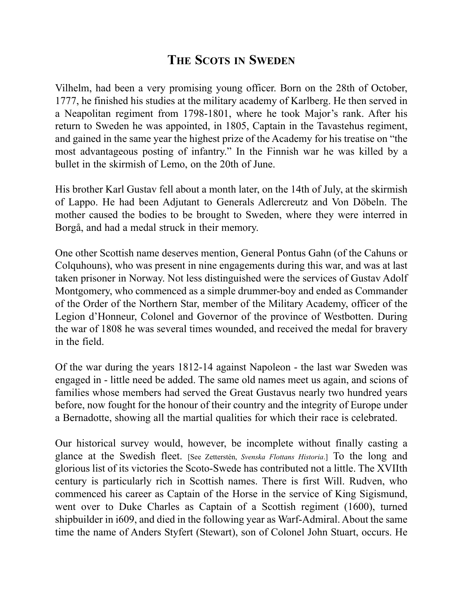Vilhelm, had been a very promising young officer. Born on the 28th of October, 1777, he finished his studies at the military academy of Karlberg. He then served in a Neapolitan regiment from 1798-1801, where he took Major's rank. After his return to Sweden he was appointed, in 1805, Captain in the Tavastehus regiment, and gained in the same year the highest prize of the Academy for his treatise on "the most advantageous posting of infantry." In the Finnish war he was killed by a bullet in the skirmish of Lemo, on the 20th of June.

His brother Karl Gustav fell about a month later, on the 14th of July, at the skirmish of Lappo. He had been Adjutant to Generals Adlercreutz and Von Döbeln. The mother caused the bodies to be brought to Sweden, where they were interred in Borgå, and had a medal struck in their memory.

One other Scottish name deserves mention, General Pontus Gahn (of the Cahuns or Colquhouns), who was present in nine engagements during this war, and was at last taken prisoner in Norway. Not less distinguished were the services of Gustav Adolf Montgomery, who commenced as a simple drummer-boy and ended as Commander of the Order of the Northern Star, member of the Military Academy, officer of the Legion d'Honneur, Colonel and Governor of the province of Westbotten. During the war of 1808 he was several times wounded, and received the medal for bravery in the field.

Of the war during the years 1812-14 against Napoleon - the last war Sweden was engaged in - little need be added. The same old names meet us again, and scions of families whose members had served the Great Gustavus nearly two hundred years before, now fought for the honour of their country and the integrity of Europe under a Bernadotte, showing all the martial qualities for which their race is celebrated.

Our historical survey would, however, be incomplete without finally casting a glance at the Swedish fleet. [See Zetterstén, *Svenska Flottans Historia*.] To the long and glorious list of its victories the Scoto-Swede has contributed not a little. The XVIIth century is particularly rich in Scottish names. There is first Will. Rudven, who commenced his career as Captain of the Horse in the service of King Sigismund, went over to Duke Charles as Captain of a Scottish regiment (1600), turned shipbuilder in i609, and died in the following year as Warf-Admiral. About the same time the name of Anders Styfert (Stewart), son of Colonel John Stuart, occurs. He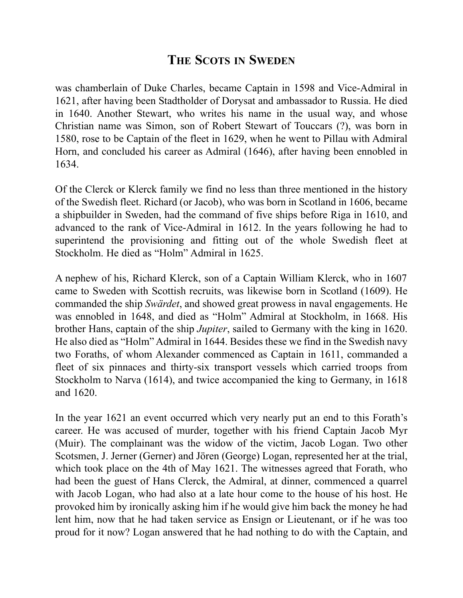was chamberlain of Duke Charles, became Captain in 1598 and Vice-Admiral in 1621, after having been Stadtholder of Dorysat and ambassador to Russia. He died in 1640. Another Stewart, who writes his name in the usual way, and whose Christian name was Simon, son of Robert Stewart of Touccars (?), was born in 1580, rose to be Captain of the fleet in 1629, when he went to Pillau with Admiral Horn, and concluded his career as Admiral (1646), after having been ennobled in 1634.

Of the Clerck or Klerck family we find no less than three mentioned in the history of the Swedish fleet. Richard (or Jacob), who was born in Scotland in 1606, became a shipbuilder in Sweden, had the command of five ships before Riga in 1610, and advanced to the rank of Vice-Admiral in 1612. In the years following he had to superintend the provisioning and fitting out of the whole Swedish fleet at Stockholm. He died as "Holm" Admiral in 1625.

A nephew of his, Richard Klerck, son of a Captain William Klerck, who in 1607 came to Sweden with Scottish recruits, was likewise born in Scotland (1609). He commanded the ship *Swärdet*, and showed great prowess in naval engagements. He was ennobled in 1648, and died as "Holm" Admiral at Stockholm, in 1668. His brother Hans, captain of the ship *Jupiter*, sailed to Germany with the king in 1620. He also died as "Holm" Admiral in 1644. Besides these we find in the Swedish navy two Foraths, of whom Alexander commenced as Captain in 1611, commanded a fleet of six pinnaces and thirty-six transport vessels which carried troops from Stockholm to Narva (1614), and twice accompanied the king to Germany, in 1618 and 1620.

In the year 1621 an event occurred which very nearly put an end to this Forath's career. He was accused of murder, together with his friend Captain Jacob Myr (Muir). The complainant was the widow of the victim, Jacob Logan. Two other Scotsmen, J. Jerner (Gerner) and Jören (George) Logan, represented her at the trial, which took place on the 4th of May 1621. The witnesses agreed that Forath, who had been the guest of Hans Clerck, the Admiral, at dinner, commenced a quarrel with Jacob Logan, who had also at a late hour come to the house of his host. He provoked him by ironically asking him if he would give him back the money he had lent him, now that he had taken service as Ensign or Lieutenant, or if he was too proud for it now? Logan answered that he had nothing to do with the Captain, and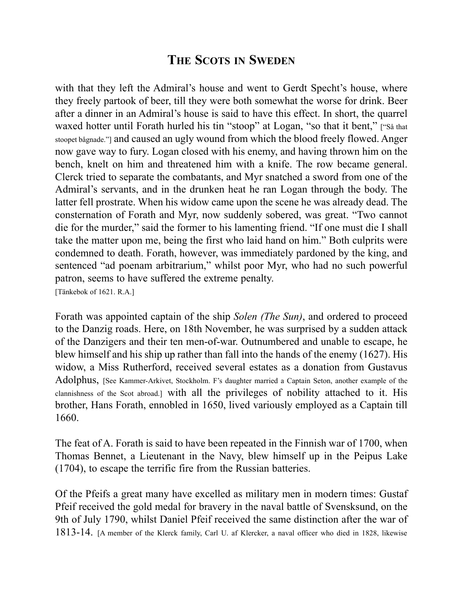with that they left the Admiral's house and went to Gerdt Specht's house, where they freely partook of beer, till they were both somewhat the worse for drink. Beer after a dinner in an Admiral's house is said to have this effect. In short, the quarrel waxed hotter until Forath hurled his tin "stoop" at Logan, "so that it bent," ["Så that stoopet bågnade."] and caused an ugly wound from which the blood freely flowed. Anger now gave way to fury. Logan closed with his enemy, and having thrown him on the bench, knelt on him and threatened him with a knife. The row became general. Clerck tried to separate the combatants, and Myr snatched a sword from one of the Admiral's servants, and in the drunken heat he ran Logan through the body. The latter fell prostrate. When his widow came upon the scene he was already dead. The consternation of Forath and Myr, now suddenly sobered, was great. "Two cannot die for the murder," said the former to his lamenting friend. "If one must die I shall take the matter upon me, being the first who laid hand on him." Both culprits were condemned to death. Forath, however, was immediately pardoned by the king, and sentenced "ad poenam arbitrarium," whilst poor Myr, who had no such powerful patron, seems to have suffered the extreme penalty. [Tänkebok of 1621. R.A.]

Forath was appointed captain of the ship *Solen (The Sun)*, and ordered to proceed to the Danzig roads. Here, on 18th November, he was surprised by a sudden attack of the Danzigers and their ten men-of-war. Outnumbered and unable to escape, he blew himself and his ship up rather than fall into the hands of the enemy (1627). His widow, a Miss Rutherford, received several estates as a donation from Gustavus Adolphus, [See Kammer-Arkivet, Stockholm. F's daughter married a Captain Seton, another example of the clannishness of the Scot abroad.] with all the privileges of nobility attached to it. His brother, Hans Forath, ennobled in 1650, lived variously employed as a Captain till 1660.

The feat of A. Forath is said to have been repeated in the Finnish war of 1700, when Thomas Bennet, a Lieutenant in the Navy, blew himself up in the Peipus Lake (1704), to escape the terrific fire from the Russian batteries.

Of the Pfeifs a great many have excelled as military men in modern times: Gustaf Pfeif received the gold medal for bravery in the naval battle of Svensksund, on the 9th of July 1790, whilst Daniel Pfeif received the same distinction after the war of 1813-14. [A member of the Klerck family, Carl U. af Klercker, a naval officer who died in 1828, likewise